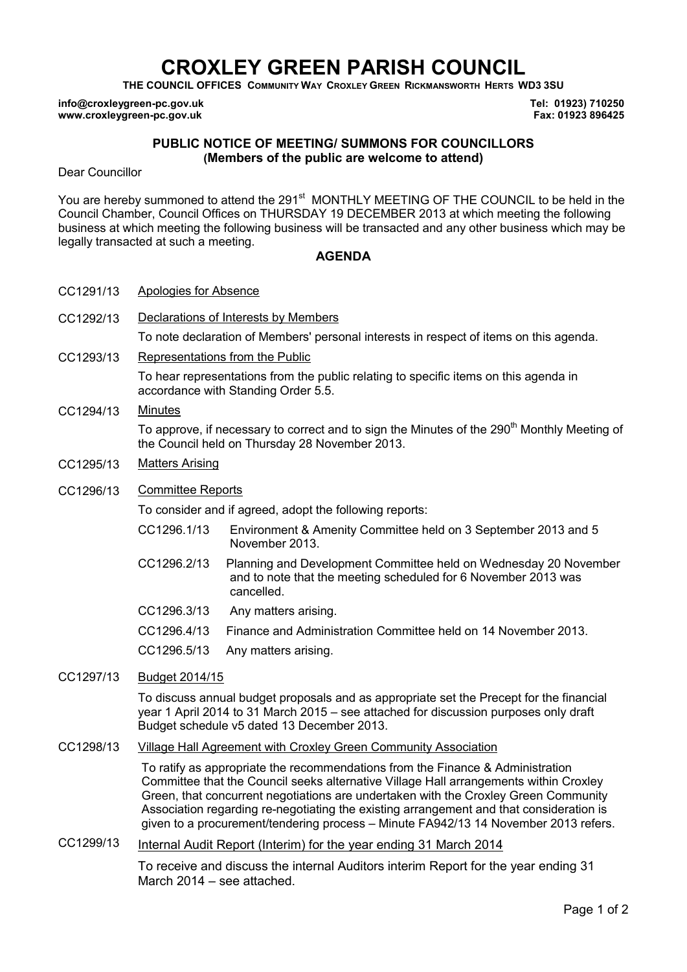# **CROXLEY GREEN PARISH COUNCIL**

**THE COUNCIL OFFICES COMMUNITY WAY CROXLEY GREEN RICKMANSWORTH HERTS WD3 3SU** 

**info@croxleygreen-pc.gov.uk www.croxleygreen-pc.gov.uk**

**Tel: 01923) 710250 Fax: 01923 896425**

# **PUBLIC NOTICE OF MEETING/ SUMMONS FOR COUNCILLORS (Members of the public are welcome to attend)**

Dear Councillor

You are hereby summoned to attend the 291<sup>st</sup> MONTHLY MEETING OF THE COUNCIL to be held in the Council Chamber, Council Offices on THURSDAY 19 DECEMBER 2013 at which meeting the following business at which meeting the following business will be transacted and any other business which may be legally transacted at such a meeting.

### **AGENDA**

- CC1291/13 Apologies for Absence
- CC1292/13 Declarations of Interests by Members

To note declaration of Members' personal interests in respect of items on this agenda.

CC1293/13 Representations from the Public

To hear representations from the public relating to specific items on this agenda in accordance with Standing Order 5.5.

CC1294/13 Minutes

To approve, if necessary to correct and to sign the Minutes of the 290<sup>th</sup> Monthly Meeting of the Council held on Thursday 28 November 2013.

- CC1295/13 Matters Arising
- CC1296/13 Committee Reports

To consider and if agreed, adopt the following reports:

- CC1296.1/13 Environment & Amenity Committee held on 3 September 2013 and 5 November 2013.
- CC1296.2/13 Planning and Development Committee held on Wednesday 20 November and to note that the meeting scheduled for 6 November 2013 was cancelled.
- CC1296.3/13 Any matters arising.
- CC1296.4/13 Finance and Administration Committee held on 14 November 2013.
- CC1296.5/13 Any matters arising.
- CC1297/13 Budget 2014/15

To discuss annual budget proposals and as appropriate set the Precept for the financial year 1 April 2014 to 31 March 2015 – see attached for discussion purposes only draft Budget schedule v5 dated 13 December 2013.

CC1298/13 Village Hall Agreement with Croxley Green Community Association

To ratify as appropriate the recommendations from the Finance & Administration Committee that the Council seeks alternative Village Hall arrangements within Croxley Green, that concurrent negotiations are undertaken with the Croxley Green Community Association regarding re-negotiating the existing arrangement and that consideration is given to a procurement/tendering process – Minute FA942/13 14 November 2013 refers.

CC1299/13 Internal Audit Report (Interim) for the year ending 31 March 2014

To receive and discuss the internal Auditors interim Report for the year ending 31 March 2014 – see attached.